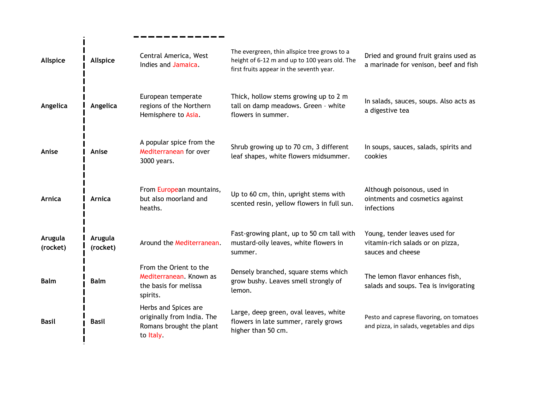| <b>Allspice</b>     | Allspice            | Central America, West<br>Indies and Jamaica.                                                | The evergreen, thin allspice tree grows to a<br>height of 6-12 m and up to 100 years old. The<br>first fruits appear in the seventh year. | Dried and ground fruit grains used as<br>a marinade for venison, beef and fish         |
|---------------------|---------------------|---------------------------------------------------------------------------------------------|-------------------------------------------------------------------------------------------------------------------------------------------|----------------------------------------------------------------------------------------|
| Angelica            | Angelica            | European temperate<br>regions of the Northern<br>Hemisphere to Asia.                        | Thick, hollow stems growing up to 2 m<br>tall on damp meadows. Green - white<br>flowers in summer.                                        | In salads, sauces, soups. Also acts as<br>a digestive tea                              |
| Anise               | Anise               | A popular spice from the<br>Mediterranean for over<br>3000 years.                           | Shrub growing up to 70 cm, 3 different<br>leaf shapes, white flowers midsummer.                                                           | In soups, sauces, salads, spirits and<br>cookies                                       |
| <b>Arnica</b>       | <b>Arnica</b>       | From European mountains,<br>but also moorland and<br>heaths.                                | Up to 60 cm, thin, upright stems with<br>scented resin, yellow flowers in full sun.                                                       | Although poisonous, used in<br>ointments and cosmetics against<br>infections           |
| Arugula<br>(rocket) | Arugula<br>(rocket) | Around the Mediterranean.                                                                   | Fast-growing plant, up to 50 cm tall with<br>mustard-oily leaves, white flowers in<br>summer.                                             | Young, tender leaves used for<br>vitamin-rich salads or on pizza,<br>sauces and cheese |
| <b>Balm</b>         | <b>Balm</b>         | From the Orient to the<br>Mediterranean. Known as<br>the basis for melissa<br>spirits.      | Densely branched, square stems which<br>grow bushy. Leaves smell strongly of<br>lemon.                                                    | The lemon flavor enhances fish,<br>salads and soups. Tea is invigorating               |
| <b>Basil</b>        | <b>Basil</b>        | Herbs and Spices are<br>originally from India. The<br>Romans brought the plant<br>to Italy. | Large, deep green, oval leaves, white<br>flowers in late summer, rarely grows<br>higher than 50 cm.                                       | Pesto and caprese flavoring, on tomatoes<br>and pizza, in salads, vegetables and dips  |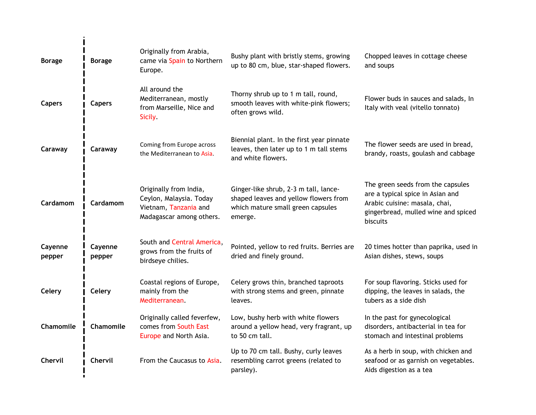| <b>Borage</b>     | <b>Borage</b>     | Originally from Arabia,<br>came via Spain to Northern<br>Europe.                                       | Bushy plant with bristly stems, growing<br>up to 80 cm, blue, star-shaped flowers.                                             | Chopped leaves in cottage cheese<br>and soups                                                                                                             |
|-------------------|-------------------|--------------------------------------------------------------------------------------------------------|--------------------------------------------------------------------------------------------------------------------------------|-----------------------------------------------------------------------------------------------------------------------------------------------------------|
| <b>Capers</b>     | <b>Capers</b>     | All around the<br>Mediterranean, mostly<br>from Marseille, Nice and<br>Sicily.                         | Thorny shrub up to 1 m tall, round,<br>smooth leaves with white-pink flowers;<br>often grows wild.                             | Flower buds in sauces and salads, In<br>Italy with veal (vitello tonnato)                                                                                 |
| Caraway           | Caraway           | Coming from Europe across<br>the Mediterranean to Asia.                                                | Biennial plant. In the first year pinnate<br>leaves, then later up to 1 m tall stems<br>and white flowers.                     | The flower seeds are used in bread,<br>brandy, roasts, goulash and cabbage                                                                                |
| <b>Cardamom</b>   | Cardamom          | Originally from India,<br>Ceylon, Malaysia. Today<br>Vietnam, Tanzania and<br>Madagascar among others. | Ginger-like shrub, 2-3 m tall, lance-<br>shaped leaves and yellow flowers from<br>which mature small green capsules<br>emerge. | The green seeds from the capsules<br>are a typical spice in Asian and<br>Arabic cuisine: masala, chai,<br>gingerbread, mulled wine and spiced<br>biscuits |
| Cayenne<br>pepper | Cayenne<br>pepper | South and Central America,<br>grows from the fruits of<br>birdseye chilies.                            | Pointed, yellow to red fruits. Berries are<br>dried and finely ground.                                                         | 20 times hotter than paprika, used in<br>Asian dishes, stews, soups                                                                                       |
| Celery            | Celery            | Coastal regions of Europe,<br>mainly from the<br>Mediterranean.                                        | Celery grows thin, branched taproots<br>with strong stems and green, pinnate<br>leaves.                                        | For soup flavoring. Sticks used for<br>dipping, the leaves in salads, the<br>tubers as a side dish                                                        |
| Chamomile         | Chamomile         | Originally called feverfew,<br>comes from South East<br>Europe and North Asia.                         | Low, bushy herb with white flowers<br>around a yellow head, very fragrant, up<br>to 50 cm tall.                                | In the past for gynecological<br>disorders, antibacterial in tea for<br>stomach and intestinal problems                                                   |
| Chervil           | Chervil           | From the Caucasus to Asia.                                                                             | Up to 70 cm tall. Bushy, curly leaves<br>resembling carrot greens (related to<br>parsley).                                     | As a herb in soup, with chicken and<br>seafood or as garnish on vegetables.<br>Aids digestion as a tea                                                    |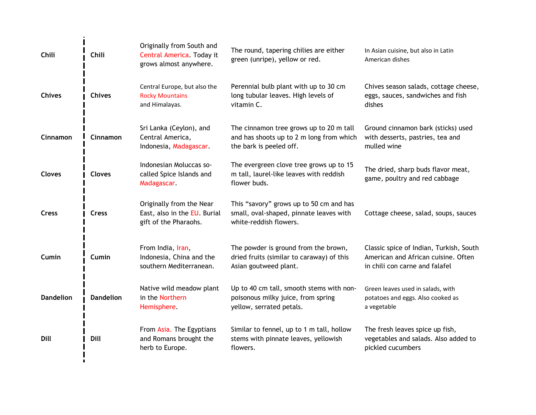| Chili            | Chili            | Originally from South and<br>Central America. Today it<br>grows almost anywhere.  | The round, tapering chilies are either<br>green (unripe), yellow or red.                                       | In Asian cuisine, but also in Latin<br>American dishes                                                           |
|------------------|------------------|-----------------------------------------------------------------------------------|----------------------------------------------------------------------------------------------------------------|------------------------------------------------------------------------------------------------------------------|
| <b>Chives</b>    | <b>Chives</b>    | Central Europe, but also the<br><b>Rocky Mountains</b><br>and Himalayas.          | Perennial bulb plant with up to 30 cm<br>long tubular leaves. High levels of<br>vitamin C.                     | Chives season salads, cottage cheese,<br>eggs, sauces, sandwiches and fish<br>dishes                             |
| Cinnamon         | Cinnamon         | Sri Lanka (Ceylon), and<br>Central America,<br>Indonesia, Madagascar.             | The cinnamon tree grows up to 20 m tall<br>and has shoots up to 2 m long from which<br>the bark is peeled off. | Ground cinnamon bark (sticks) used<br>with desserts, pastries, tea and<br>mulled wine                            |
| <b>Cloves</b>    | <b>Cloves</b>    | Indonesian Moluccas so-<br>called Spice Islands and<br>Madagascar.                | The evergreen clove tree grows up to 15<br>m tall, laurel-like leaves with reddish<br>flower buds.             | The dried, sharp buds flavor meat,<br>game, poultry and red cabbage                                              |
| <b>Cress</b>     | <b>Cress</b>     | Originally from the Near<br>East, also in the EU. Burial<br>gift of the Pharaohs. | This "savory" grows up to 50 cm and has<br>small, oval-shaped, pinnate leaves with<br>white-reddish flowers.   | Cottage cheese, salad, soups, sauces                                                                             |
| Cumin            | Cumin            | From India, Iran,<br>Indonesia, China and the<br>southern Mediterranean.          | The powder is ground from the brown,<br>dried fruits (similar to caraway) of this<br>Asian goutweed plant.     | Classic spice of Indian, Turkish, South<br>American and African cuisine. Often<br>in chili con carne and falafel |
| <b>Dandelion</b> | <b>Dandelion</b> | Native wild meadow plant<br>in the Northern<br>Hemisphere.                        | Up to 40 cm tall, smooth stems with non-<br>poisonous milky juice, from spring<br>yellow, serrated petals.     | Green leaves used in salads, with<br>potatoes and eggs. Also cooked as<br>a vegetable                            |
| Dill             | Dill             | From Asia. The Egyptians<br>and Romans brought the<br>herb to Europe.             | Similar to fennel, up to 1 m tall, hollow<br>stems with pinnate leaves, yellowish<br>flowers.                  | The fresh leaves spice up fish,<br>vegetables and salads. Also added to<br>pickled cucumbers                     |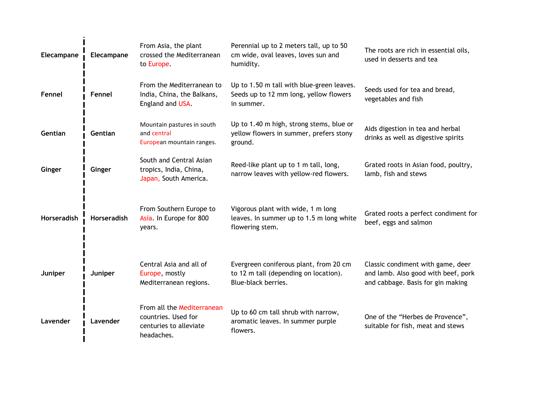| Elecampane         | Elecampane  | From Asia, the plant<br>crossed the Mediterranean<br>to Europe.                           | Perennial up to 2 meters tall, up to 50<br>cm wide, oval leaves, loves sun and<br>humidity.            | The roots are rich in essential oils,<br>used in desserts and tea                                             |
|--------------------|-------------|-------------------------------------------------------------------------------------------|--------------------------------------------------------------------------------------------------------|---------------------------------------------------------------------------------------------------------------|
| Fennel             | Fennel      | From the Mediterranean to<br>India, China, the Balkans,<br>England and USA.               | Up to 1.50 m tall with blue-green leaves.<br>Seeds up to 12 mm long, yellow flowers<br>in summer.      | Seeds used for tea and bread,<br>vegetables and fish                                                          |
| Gentian            | Gentian     | Mountain pastures in south<br>and central<br>European mountain ranges.                    | Up to 1.40 m high, strong stems, blue or<br>yellow flowers in summer, prefers stony<br>ground.         | Aids digestion in tea and herbal<br>drinks as well as digestive spirits                                       |
| Ginger             | Ginger      | South and Central Asian<br>tropics, India, China,<br>Japan, South America.                | Reed-like plant up to 1 m tall, long,<br>narrow leaves with yellow-red flowers.                        | Grated roots in Asian food, poultry,<br>lamb, fish and stews                                                  |
| <b>Horseradish</b> | Horseradish | From Southern Europe to<br>Asia. In Europe for 800<br>years.                              | Vigorous plant with wide, 1 m long<br>leaves. In summer up to 1.5 m long white<br>flowering stem.      | Grated roots a perfect condiment for<br>beef, eggs and salmon                                                 |
| Juniper            | Juniper     | Central Asia and all of<br>Europe, mostly<br>Mediterranean regions.                       | Evergreen coniferous plant, from 20 cm<br>to 12 m tall (depending on location).<br>Blue-black berries. | Classic condiment with game, deer<br>and lamb. Also good with beef, pork<br>and cabbage. Basis for gin making |
| Lavender           | Lavender    | From all the Mediterranean<br>countries. Used for<br>centuries to alleviate<br>headaches. | Up to 60 cm tall shrub with narrow,<br>aromatic leaves. In summer purple<br>flowers.                   | One of the "Herbes de Provence",<br>suitable for fish, meat and stews                                         |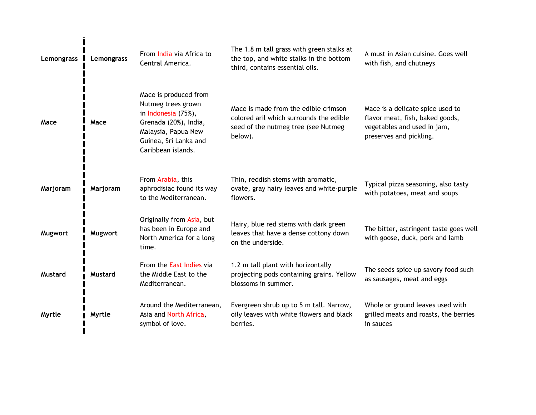| Lemongrass     | Lemongrass     | From India via Africa to<br>Central America.                                                                                                                      | The 1.8 m tall grass with green stalks at<br>the top, and white stalks in the bottom<br>third, contains essential oils.           | A must in Asian cuisine. Goes well<br>with fish, and chutneys                                                                 |
|----------------|----------------|-------------------------------------------------------------------------------------------------------------------------------------------------------------------|-----------------------------------------------------------------------------------------------------------------------------------|-------------------------------------------------------------------------------------------------------------------------------|
| Mace           | Mace           | Mace is produced from<br>Nutmeg trees grown<br>in Indonesia (75%),<br>Grenada (20%), India,<br>Malaysia, Papua New<br>Guinea, Sri Lanka and<br>Caribbean islands. | Mace is made from the edible crimson<br>colored aril which surrounds the edible<br>seed of the nutmeg tree (see Nutmeg<br>below). | Mace is a delicate spice used to<br>flavor meat, fish, baked goods,<br>vegetables and used in jam,<br>preserves and pickling. |
| Marjoram       | Marjoram       | From Arabia, this<br>aphrodisiac found its way<br>to the Mediterranean.                                                                                           | Thin, reddish stems with aromatic,<br>ovate, gray hairy leaves and white-purple<br>flowers.                                       | Typical pizza seasoning, also tasty<br>with potatoes, meat and soups                                                          |
| Mugwort        | Mugwort        | Originally from Asia, but<br>has been in Europe and<br>North America for a long<br>time.                                                                          | Hairy, blue red stems with dark green<br>leaves that have a dense cottony down<br>on the underside.                               | The bitter, astringent taste goes well<br>with goose, duck, pork and lamb                                                     |
| <b>Mustard</b> | <b>Mustard</b> | From the East Indies via<br>the Middle East to the<br>Mediterranean.                                                                                              | 1.2 m tall plant with horizontally<br>projecting pods containing grains. Yellow<br>blossoms in summer.                            | The seeds spice up savory food such<br>as sausages, meat and eggs                                                             |
| <b>Myrtle</b>  | Myrtle         | Around the Mediterranean,<br>Asia and North Africa,<br>symbol of love.                                                                                            | Evergreen shrub up to 5 m tall. Narrow,<br>oily leaves with white flowers and black<br>berries.                                   | Whole or ground leaves used with<br>grilled meats and roasts, the berries<br>in sauces                                        |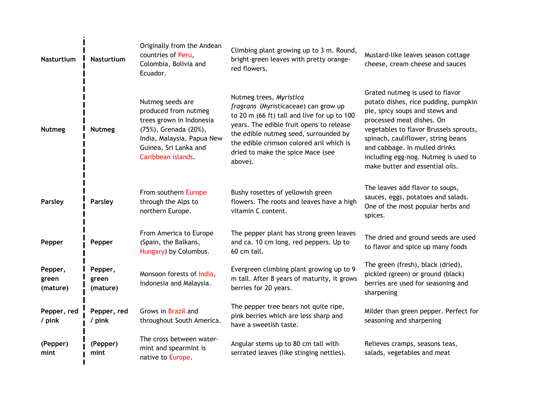| <b>Nasturtium</b>            | Nasturtium                   | Originally from the Andean<br>countries of Peru,<br>Colombia, Bolivia and<br>Ecuador.                                                                                      | Climbing plant growing up to 3 m. Round,<br>bright-green leaves with pretty orange-<br>red flowers.                                                                                                                                                                                             | Mustard-like leaves season cottage<br>cheese, cream cheese and sauces                                                                                                                                                                                                                                                              |
|------------------------------|------------------------------|----------------------------------------------------------------------------------------------------------------------------------------------------------------------------|-------------------------------------------------------------------------------------------------------------------------------------------------------------------------------------------------------------------------------------------------------------------------------------------------|------------------------------------------------------------------------------------------------------------------------------------------------------------------------------------------------------------------------------------------------------------------------------------------------------------------------------------|
| <b>Nutmeg</b>                | <b>Nutmeg</b>                | Nutmeg seeds are<br>produced from nutmeg<br>trees grown in Indonesia<br>(75%), Grenada (20%),<br>India, Malaysia, Papua New<br>Guinea, Sri Lanka and<br>Caribbean islands. | Nutmeg trees, Myristica<br>fragrans (Myristicaceae) can grow up<br>to 20 m (66 ft) tall and live for up to 100<br>years. The edible fruit opens to release<br>the edible nutmeg seed, surrounded by<br>the edible crimson colored aril which is<br>dried to make the spice Mace (see<br>above). | Grated nutmeg is used to flavor<br>potato dishes, rice pudding, pumpkin<br>pie, spicy soups and stews and<br>processed meat dishes. On<br>vegetables to flavor Brussels sprouts,<br>spinach, cauliflower, string beans<br>and cabbage. In mulled drinks<br>including egg-nog. Nutmeg is used to<br>make butter and essential oils. |
| Parsley                      | Parsley                      | From southern Europe<br>through the Alps to<br>northern Europe.                                                                                                            | Bushy rosettes of yellowish green<br>flowers. The roots and leaves have a high<br>vitamin C content.                                                                                                                                                                                            | The leaves add flavor to soups,<br>sauces, eggs, potatoes and salads.<br>One of the most popular herbs and<br>spices.                                                                                                                                                                                                              |
| Pepper                       | Pepper                       | From America to Europe<br>(Spain, the Balkans,<br>Hungary) by Columbus.                                                                                                    | The pepper plant has strong green leaves<br>and ca. 10 cm long, red peppers. Up to<br>60 cm tall.                                                                                                                                                                                               | The dried and ground seeds are used<br>to flavor and spice up many foods                                                                                                                                                                                                                                                           |
| Pepper,<br>green<br>(mature) | Pepper,<br>green<br>(mature) | Monsoon forests of India,<br>Indonesia and Malaysia.                                                                                                                       | Evergreen climbing plant growing up to 9<br>m tall. After 8 years of maturity, it grows<br>berries for 20 years.                                                                                                                                                                                | The green (fresh), black (dried),<br>pickled (green) or ground (black)<br>berries are used for seasoning and<br>sharpening                                                                                                                                                                                                         |
| Pepper, red<br>/ pink        | Pepper, red<br>/ pink        | Grows in Brazil and<br>throughout South America.                                                                                                                           | The pepper tree bears not quite ripe,<br>pink berries which are less sharp and<br>have a sweetish taste.                                                                                                                                                                                        | Milder than green pepper. Perfect for<br>seasoning and sharpening                                                                                                                                                                                                                                                                  |
| (Pepper)<br>mint             | (Pepper)<br>mint             | The cross between water-<br>mint and spearmint is<br>native to Europe.                                                                                                     | Angular stems up to 80 cm tall with<br>serrated leaves (like stinging nettles).                                                                                                                                                                                                                 | Relieves cramps, seasons teas,<br>salads, vegetables and meat                                                                                                                                                                                                                                                                      |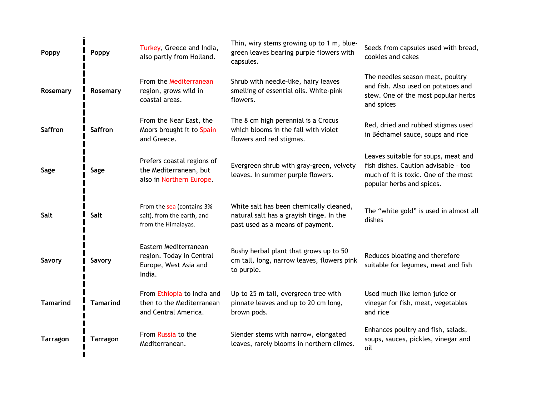| Poppy           | Poppy           | Turkey, Greece and India,<br>also partly from Holland.                               | Thin, wiry stems growing up to 1 m, blue-<br>green leaves bearing purple flowers with<br>capsules.                      | Seeds from capsules used with bread,<br>cookies and cakes                                                                                        |
|-----------------|-----------------|--------------------------------------------------------------------------------------|-------------------------------------------------------------------------------------------------------------------------|--------------------------------------------------------------------------------------------------------------------------------------------------|
| Rosemary        | Rosemary        | From the Mediterranean<br>region, grows wild in<br>coastal areas.                    | Shrub with needle-like, hairy leaves<br>smelling of essential oils. White-pink<br>flowers.                              | The needles season meat, poultry<br>and fish. Also used on potatoes and<br>stew. One of the most popular herbs<br>and spices                     |
| <b>Saffron</b>  | <b>Saffron</b>  | From the Near East, the<br>Moors brought it to Spain<br>and Greece.                  | The 8 cm high perennial is a Crocus<br>which blooms in the fall with violet<br>flowers and red stigmas.                 | Red, dried and rubbed stigmas used<br>in Béchamel sauce, soups and rice                                                                          |
| Sage            | Sage            | Prefers coastal regions of<br>the Mediterranean, but<br>also in Northern Europe.     | Evergreen shrub with gray-green, velvety<br>leaves. In summer purple flowers.                                           | Leaves suitable for soups, meat and<br>fish dishes. Caution advisable - too<br>much of it is toxic. One of the most<br>popular herbs and spices. |
| Salt            | Salt            | From the sea (contains 3%<br>salt), from the earth, and<br>from the Himalayas.       | White salt has been chemically cleaned,<br>natural salt has a grayish tinge. In the<br>past used as a means of payment. | The "white gold" is used in almost all<br>dishes                                                                                                 |
| Savory          | Savory          | Eastern Mediterranean<br>region. Today in Central<br>Europe, West Asia and<br>India. | Bushy herbal plant that grows up to 50<br>cm tall, long, narrow leaves, flowers pink<br>to purple.                      | Reduces bloating and therefore<br>suitable for legumes, meat and fish                                                                            |
| <b>Tamarind</b> | <b>Tamarind</b> | From Ethiopia to India and<br>then to the Mediterranean<br>and Central America.      | Up to 25 m tall, evergreen tree with<br>pinnate leaves and up to 20 cm long,<br>brown pods.                             | Used much like lemon juice or<br>vinegar for fish, meat, vegetables<br>and rice                                                                  |
| <b>Tarragon</b> | <b>Tarragon</b> | From Russia to the<br>Mediterranean.                                                 | Slender stems with narrow, elongated<br>leaves, rarely blooms in northern climes.                                       | Enhances poultry and fish, salads,<br>soups, sauces, pickles, vinegar and<br>oil                                                                 |